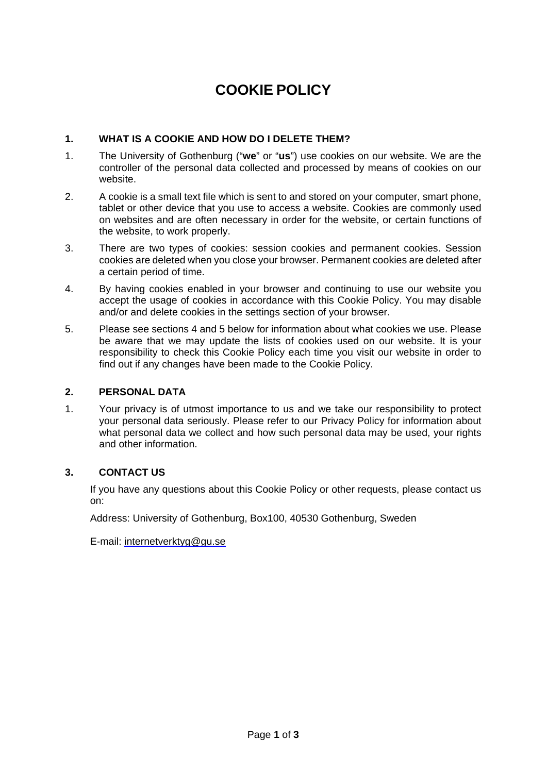# **COOKIE POLICY**

#### **1. WHAT IS A COOKIE AND HOW DO I DELETE THEM?**

- 1. The University of Gothenburg ("**we**" or "**us**") use cookies on our website. We are the controller of the personal data collected and processed by means of cookies on our website.
- 2. A cookie is a small text file which is sent to and stored on your computer, smart phone, tablet or other device that you use to access a website. Cookies are commonly used on websites and are often necessary in order for the website, or certain functions of the website, to work properly.
- 3. There are two types of cookies: session cookies and permanent cookies. Session cookies are deleted when you close your browser. Permanent cookies are deleted after a certain period of time.
- 4. By having cookies enabled in your browser and continuing to use our website you accept the usage of cookies in accordance with this Cookie Policy. You may disable and/or and delete cookies in the settings section of your browser.
- 5. Please see sections 4 and 5 below for information about what cookies we use. Please be aware that we may update the lists of cookies used on our website. It is your responsibility to check this Cookie Policy each time you visit our website in order to find out if any changes have been made to the Cookie Policy.

#### **2. PERSONAL DATA**

1. Your privacy is of utmost importance to us and we take our responsibility to protect your personal data seriously. Please refer to our Privacy Policy for information about what personal data we collect and how such personal data may be used, your rights and other information.

#### **3. CONTACT US**

If you have any questions about this Cookie Policy or other requests, please contact us on:

Address: University of Gothenburg, Box100, 40530 Gothenburg, Sweden

E-mail: internetverktyg@gu.se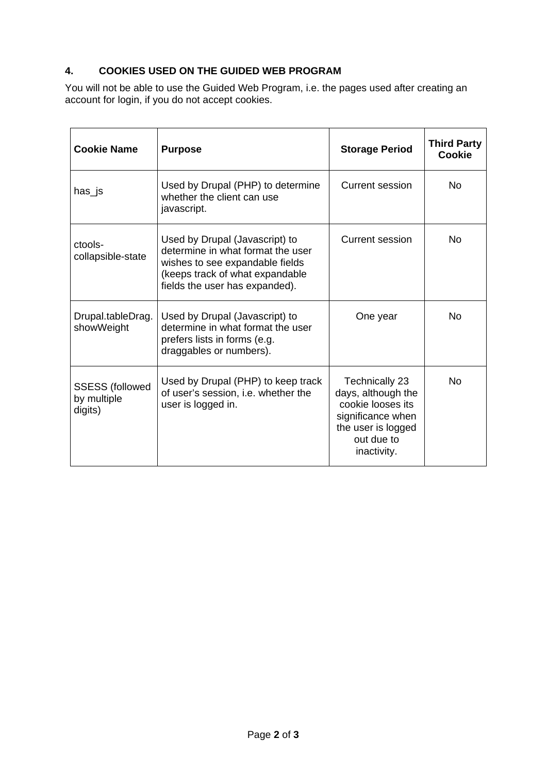### **4. COOKIES USED ON THE GUIDED WEB PROGRAM**

You will not be able to use the Guided Web Program, i.e. the pages used after creating an account for login, if you do not accept cookies.

| <b>Cookie Name</b>                               | <b>Purpose</b>                                                                                                                                                              | <b>Storage Period</b>                                                                                                                    | <b>Third Party</b><br>Cookie |
|--------------------------------------------------|-----------------------------------------------------------------------------------------------------------------------------------------------------------------------------|------------------------------------------------------------------------------------------------------------------------------------------|------------------------------|
| has_js                                           | Used by Drupal (PHP) to determine<br>whether the client can use<br>javascript.                                                                                              | <b>Current session</b>                                                                                                                   | <b>No</b>                    |
| ctools-<br>collapsible-state                     | Used by Drupal (Javascript) to<br>determine in what format the user<br>wishes to see expandable fields<br>(keeps track of what expandable<br>fields the user has expanded). | <b>Current session</b>                                                                                                                   | No                           |
| Drupal.tableDrag.<br>showWeight                  | Used by Drupal (Javascript) to<br>determine in what format the user<br>prefers lists in forms (e.g.<br>draggables or numbers).                                              | One year                                                                                                                                 | <b>No</b>                    |
| <b>SSESS (followed</b><br>by multiple<br>digits) | Used by Drupal (PHP) to keep track<br>of user's session, i.e. whether the<br>user is logged in.                                                                             | <b>Technically 23</b><br>days, although the<br>cookie looses its<br>significance when<br>the user is logged<br>out due to<br>inactivity. | <b>No</b>                    |